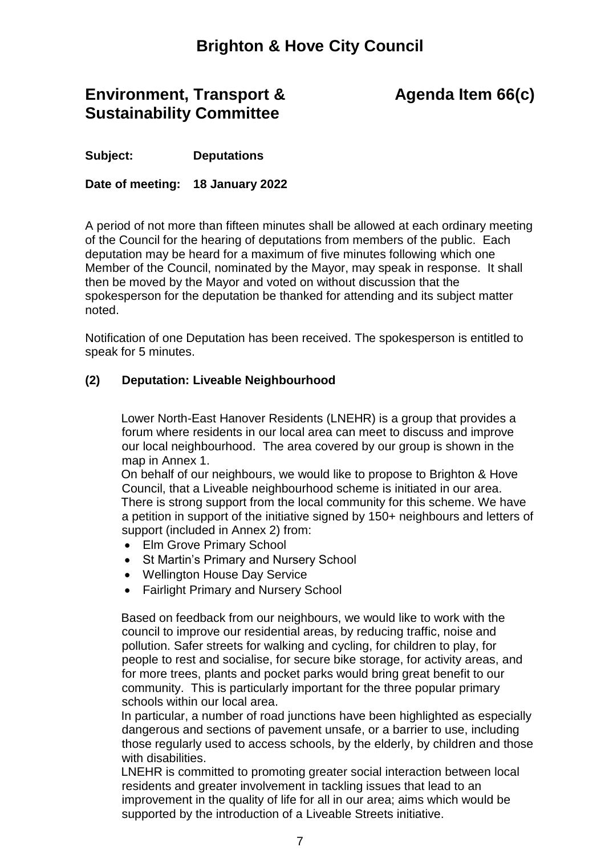## **Brighton & Hove City Council**

### **Environment, Transport & Sustainability Committee**

# **Agenda Item 66(c)**

**Subject: Deputations**

**Date of meeting: 18 January 2022**

A period of not more than fifteen minutes shall be allowed at each ordinary meeting of the Council for the hearing of deputations from members of the public. Each deputation may be heard for a maximum of five minutes following which one Member of the Council, nominated by the Mayor, may speak in response. It shall then be moved by the Mayor and voted on without discussion that the spokesperson for the deputation be thanked for attending and its subject matter noted.

Notification of one Deputation has been received. The spokesperson is entitled to speak for 5 minutes.

### **(2) Deputation: Liveable Neighbourhood**

Lower North-East Hanover Residents (LNEHR) is a group that provides a forum where residents in our local area can meet to discuss and improve our local neighbourhood. The area covered by our group is shown in the map in Annex 1.

On behalf of our neighbours, we would like to propose to Brighton & Hove Council, that a Liveable neighbourhood scheme is initiated in our area. There is strong support from the local community for this scheme. We have a petition in support of the initiative signed by 150+ neighbours and letters of support (included in Annex 2) from:

- Elm Grove Primary School
- St Martin's Primary and Nursery School
- Wellington House Day Service
- Fairlight Primary and Nursery School

Based on feedback from our neighbours, we would like to work with the council to improve our residential areas, by reducing traffic, noise and pollution. Safer streets for walking and cycling, for children to play, for people to rest and socialise, for secure bike storage, for activity areas, and for more trees, plants and pocket parks would bring great benefit to our community. This is particularly important for the three popular primary schools within our local area.

In particular, a number of road junctions have been highlighted as especially dangerous and sections of pavement unsafe, or a barrier to use, including those regularly used to access schools, by the elderly, by children and those with disabilities.

LNEHR is committed to promoting greater social interaction between local residents and greater involvement in tackling issues that lead to an improvement in the quality of life for all in our area; aims which would be supported by the introduction of a Liveable Streets initiative.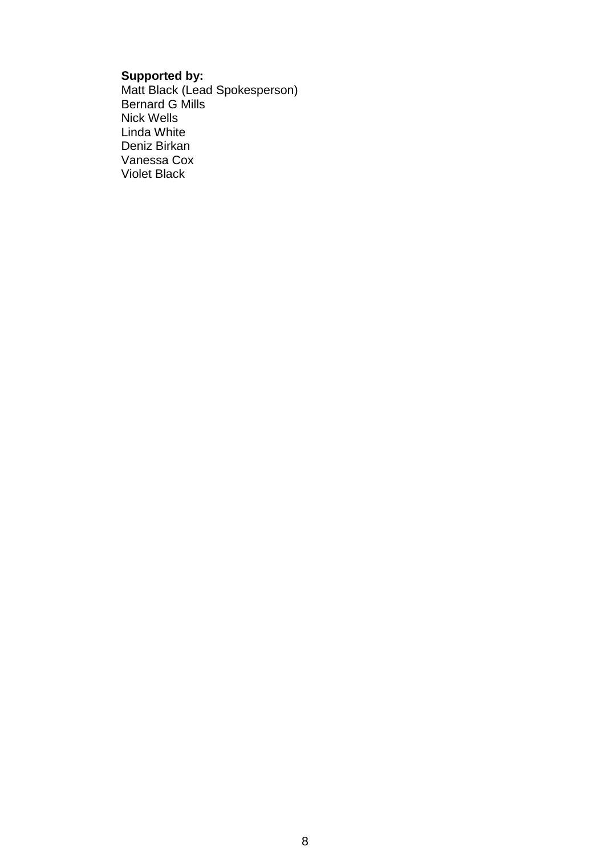#### **Supported by:**

Matt Black (Lead Spokesperson) Bernard G Mills Nick Wells Linda White Deniz Birkan Vanessa Cox Violet Black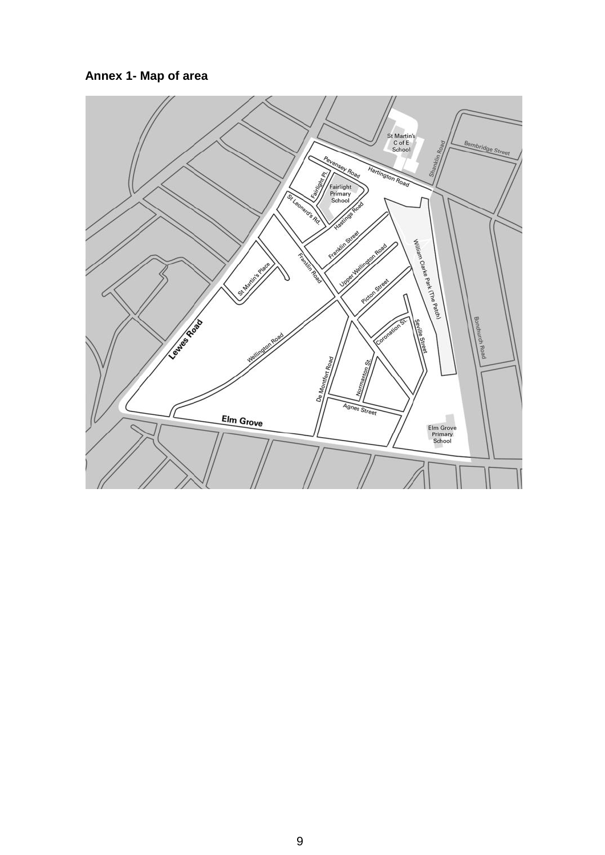**Annex 1- Map of area**